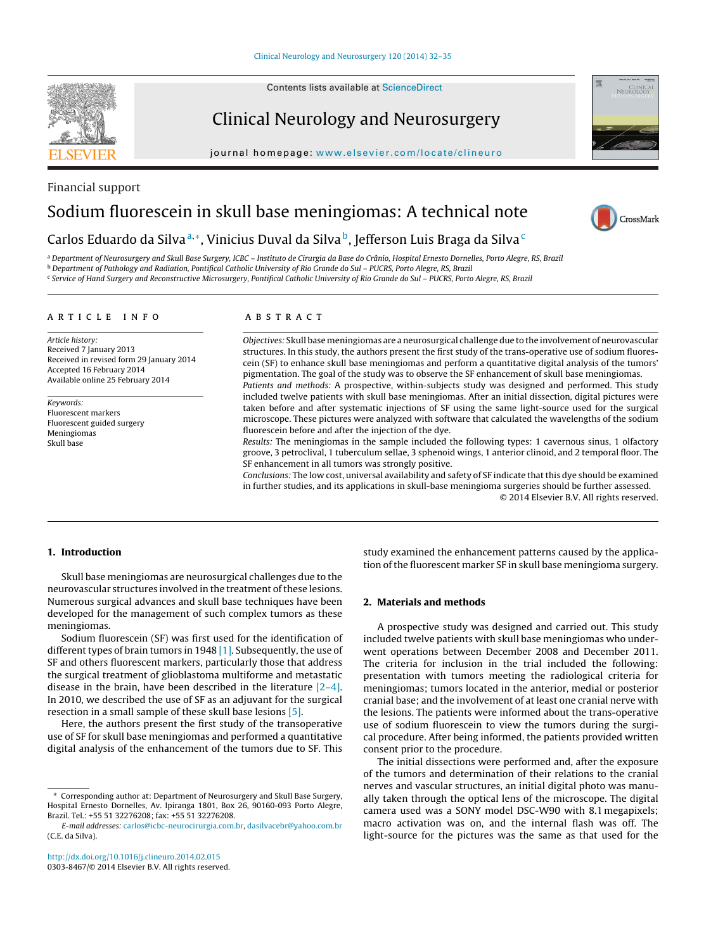Contents lists available at [ScienceDirect](http://www.sciencedirect.com/science/journal/03038467)

# Clinical Neurology and Neurosurgery

iournal homepage: [www.elsevier.com/locate/clineuro](http://www.elsevier.com/locate/clineuro)



## Carlos Eduardo da Silva<sup>a,∗</sup>, Vinicius Duval da Silva<sup>b</sup>, Jefferson Luis Braga da Silva<sup>c</sup>

<sup>a</sup> Department of Neurosurgery and Skull Base Surgery, ICBC – Instituto de Cirurgia da Base do Crânio, Hospital Ernesto Dornelles, Porto Alegre, RS, Brazil

<sup>b</sup> Department of Pathology and Radiation, Pontifical Catholic University of Rio Grande do Sul – PUCRS, Porto Alegre, RS, Brazil

<sup>c</sup> Service of Hand Surgery and Reconstructive Microsurgery, Pontifical Catholic University of Rio Grande do Sul – PUCRS, Porto Alegre, RS, Brazil

## a r t i c l e i n f o

Article history: Received 7 January 2013 Received in revised form 29 January 2014 Accepted 16 February 2014 Available online 25 February 2014

Keywords: Fluorescent markers Fluorescent guided surgery Meningiomas Skull base

## a b s t r a c t

Objectives: Skull basemeningiomas are a neurosurgical challenge due to the involvement of neurovascular structures. In this study, the authors present the first study of the trans-operative use of sodium fluorescein (SF) to enhance skull base meningiomas and perform a quantitative digital analysis of the tumors' pigmentation. The goal of the study was to observe the SF enhancement of skull base meningiomas. Patients and methods: A prospective, within-subjects study was designed and performed. This study included twelve patients with skull base meningiomas. After an initial dissection, digital pictures were

taken before and after systematic injections of SF using the same light-source used for the surgical microscope. These pictures were analyzed with software that calculated the wavelengths of the sodium fluorescein before and after the injection of the dye. Results: The meningiomas in the sample included the following types: 1 cavernous sinus, 1 olfactory

groove, 3 petroclival, 1 tuberculum sellae, 3 sphenoid wings, 1 anterior clinoid, and 2 temporal floor. The SF enhancement in all tumors was strongly positive.

Conclusions: The low cost, universal availability and safety of SF indicate that this dye should be examined in further studies, and its applications in skull-base meningioma surgeries should be further assessed.

© 2014 Elsevier B.V. All rights reserved.

## **1. Introduction**

Skull base meningiomas are neurosurgical challenges due to the neurovascular structures involved in the treatment of these lesions. Numerous surgical advances and skull base techniques have been developed for the management of such complex tumors as these meningiomas.

Sodium fluorescein (SF) was first used for the identification of different types of brain tumors in 1948  $[1]$ . Subsequently, the use of SF and others fluorescent markers, particularly those that address the surgical treatment of glioblastoma multiforme and metastatic disease in the brain, have been described in the literature [\[2–4\].](#page-3-0) In 2010, we described the use of SF as an adjuvant for the surgical resection in a small sample of these skull base lesions [\[5\].](#page-3-0)

Here, the authors present the first study of the transoperative use of SF for skull base meningiomas and performed a quantitative digital analysis of the enhancement of the tumors due to SF. This study examined the enhancement patterns caused by the application of the fluorescent marker SF in skull base meningioma surgery.

## **2. Materials and methods**

A prospective study was designed and carried out. This study included twelve patients with skull base meningiomas who underwent operations between December 2008 and December 2011. The criteria for inclusion in the trial included the following: presentation with tumors meeting the radiological criteria for meningiomas; tumors located in the anterior, medial or posterior cranial base; and the involvement of at least one cranial nerve with the lesions. The patients were informed about the trans-operative use of sodium fluorescein to view the tumors during the surgical procedure. After being informed, the patients provided written consent prior to the procedure.

The initial dissections were performed and, after the exposure of the tumors and determination of their relations to the cranial nerves and vascular structures, an initial digital photo was manually taken through the optical lens of the microscope. The digital camera used was a SONY model DSC-W90 with 8.1 megapixels; macro activation was on, and the internal flash was off. The light-source for the pictures was the same as that used for the







<sup>∗</sup> Corresponding author at: Department of Neurosurgery and Skull Base Surgery, Hospital Ernesto Dornelles, Av. Ipiranga 1801, Box 26, 90160-093 Porto Alegre, Brazil. Tel.: +55 51 32276208; fax: +55 51 32276208.

E-mail addresses: [carlos@icbc-neurocirurgia.com.br](mailto:carlos@icbc-neurocirurgia.com.br), [dasilvacebr@yahoo.com.br](mailto:dasilvacebr@yahoo.com.br) (C.E. da Silva).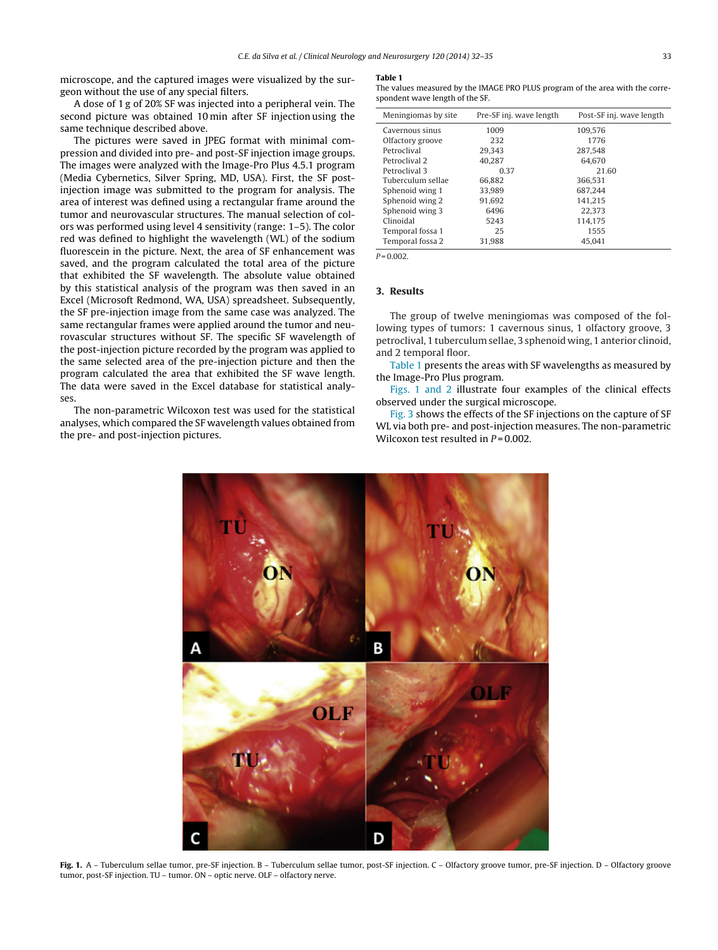<span id="page-1-0"></span>microscope, and the captured images were visualized by the surgeon without the use of any special filters.

A dose of 1 g of 20% SF was injected into a peripheral vein. The second picture was obtained 10 min after SF injection using the same technique described above.

The pictures were saved in JPEG format with minimal compression and divided into pre- and post-SF injection image groups. The images were analyzed with the Image-Pro Plus 4.5.1 program (Media Cybernetics, Silver Spring, MD, USA). First, the SF postinjection image was submitted to the program for analysis. The area of interest was defined using a rectangular frame around the tumor and neurovascular structures. The manual selection of colors was performed using level 4 sensitivity (range: 1–5). The color red was defined to highlight the wavelength (WL) of the sodium fluorescein in the picture. Next, the area of SF enhancement was saved, and the program calculated the total area of the picture that exhibited the SF wavelength. The absolute value obtained by this statistical analysis of the program was then saved in an Excel (Microsoft Redmond, WA, USA) spreadsheet. Subsequently, the SF pre-injection image from the same case was analyzed. The same rectangular frames were applied around the tumor and neurovascular structures without SF. The specific SF wavelength of the post-injection picture recorded by the program was applied to the same selected area of the pre-injection picture and then the program calculated the area that exhibited the SF wave length. The data were saved in the Excel database for statistical analyses.

The non-parametric Wilcoxon test was used for the statistical analyses, which compared the SF wavelength values obtained from the pre- and post-injection pictures.

#### **Table 1**

The values measured by the IMAGE PRO PLUS program of the area with the correspondent wave length of the SF.

| Meningiomas by site. | Pre-SF inj. wave length | Post-SF inj. wave length |
|----------------------|-------------------------|--------------------------|
| Cavernous sinus      | 1009                    | 109.576                  |
| Olfactory groove     | 232                     | 1776                     |
| Petroclival          | 29.343                  | 287.548                  |
| Petroclival 2        | 40.287                  | 64.670                   |
| Petroclival 3        | 0.37                    | 21.60                    |
| Tuberculum sellae    | 66.882                  | 366.531                  |
| Sphenoid wing 1      | 33.989                  | 687.244                  |
| Sphenoid wing 2      | 91.692                  | 141.215                  |
| Sphenoid wing 3      | 6496                    | 22.373                   |
| Clinoidal            | 5243                    | 114.175                  |
| Temporal fossa 1     | 25                      | 1555                     |
| Temporal fossa 2     | 31.988                  | 45.041                   |

 $P = 0.002$ .

## **3. Results**

The group of twelve meningiomas was composed of the following types of tumors: 1 cavernous sinus, 1 olfactory groove, 3 petroclival, 1 tuberculumsellae, 3 sphenoid wing, 1 anterior clinoid, and 2 temporal floor.

Table 1 presents the areas with SF wavelengths as measured by the Image-Pro Plus program.

Figs. 1 and 2 illustrate four examples of the clinical effects observed under the surgical microscope.

[Fig.](#page-2-0) 3 shows the effects of the SF injections on the capture of SF WL via both pre- and post-injection measures. The non-parametric Wilcoxon test resulted in  $P = 0.002$ .



Fig. 1. A - Tuberculum sellae tumor, pre-SF injection. B - Tuberculum sellae tumor, post-SF injection. C - Olfactory groove tumor, pre-SF injection. D - Olfactory groove tumor, post-SF injection. TU – tumor. ON – optic nerve. OLF – olfactory nerve.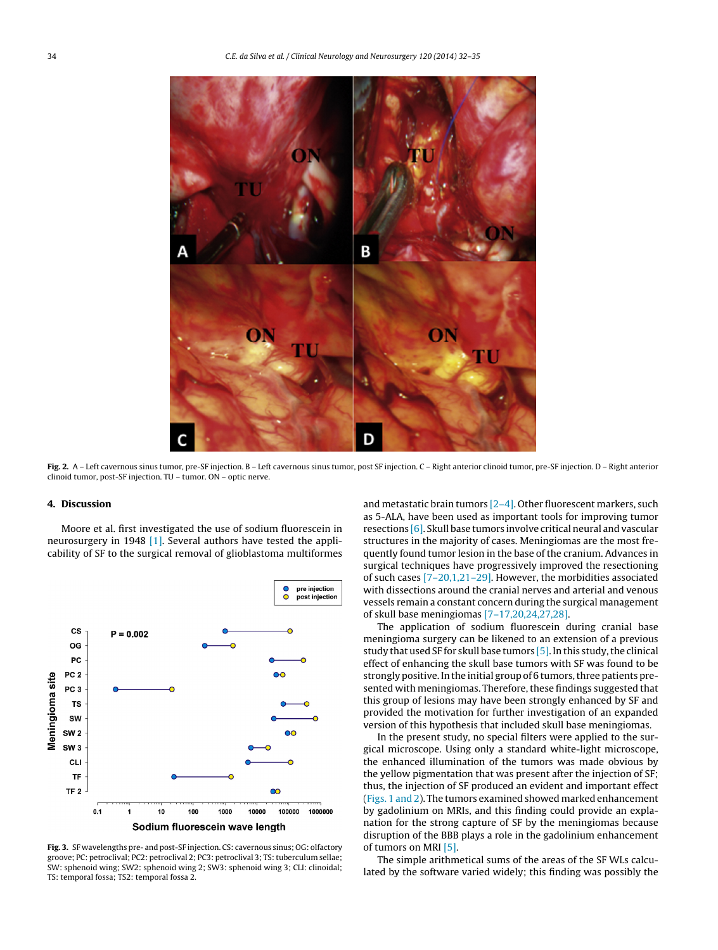<span id="page-2-0"></span>

**Fig. 2.** A – Left cavernous sinus tumor, pre-SF injection. B – Left cavernous sinus tumor, post SF injection. C – Right anterior clinoid tumor, pre-SF injection. D – Right anterior clinoid tumor, post-SF injection. TU – tumor. ON – optic nerve.

#### **4. Discussion**

Moore et al. first investigated the use of sodium fluorescein in neurosurgery in 1948 [\[1\].](#page-3-0) Several authors have tested the applicability of SF to the surgical removal of glioblastoma multiformes



**Fig. 3.** SF wavelengths pre- and post-SF injection. CS: cavernous sinus; OG: olfactory groove; PC: petroclival; PC2: petroclival 2; PC3: petroclival 3; TS: tuberculum sellae; SW: sphenoid wing; SW2: sphenoid wing 2; SW3: sphenoid wing 3; CLI: clinoidal; TS: temporal fossa; TS2: temporal fossa 2.

and metastatic brain tumors  $[2-4]$ . Other fluorescent markers, such as 5-ALA, have been used as important tools for improving tumor resections [\[6\].](#page-3-0) Skull base tumors involve critical neural and vascular structures in the majority of cases. Meningiomas are the most frequently found tumor lesion in the base of the cranium. Advances in surgical techniques have progressively improved the resectioning of such cases [\[7–20,1,21–29\].](#page-3-0) However, the morbidities associated with dissections around the cranial nerves and arterial and venous vessels remain a constant concern during the surgical management of skull base meningiomas [\[7–17,20,24,27,28\].](#page-3-0)

The application of sodium fluorescein during cranial base meningioma surgery can be likened to an extension of a previous study that used SF for skull base tumors  $[5]$ . In this study, the clinical effect of enhancing the skull base tumors with SF was found to be strongly positive. In the initial group of 6 tumors, three patients presented with meningiomas. Therefore, these findings suggested that this group of lesions may have been strongly enhanced by SF and provided the motivation for further investigation of an expanded version of this hypothesis that included skull base meningiomas.

In the present study, no special filters were applied to the surgical microscope. Using only a standard white-light microscope, the enhanced illumination of the tumors was made obvious by the yellow pigmentation that was present after the injection of SF; thus, the injection of SF produced an evident and important effect [\(Figs.](#page-1-0) 1 and 2). The tumors examined showed marked enhancement by gadolinium on MRIs, and this finding could provide an explanation for the strong capture of SF by the meningiomas because disruption of the BBB plays a role in the gadolinium enhancement of tumors on MRI [\[5\].](#page-3-0)

The simple arithmetical sums of the areas of the SF WLs calculated by the software varied widely; this finding was possibly the